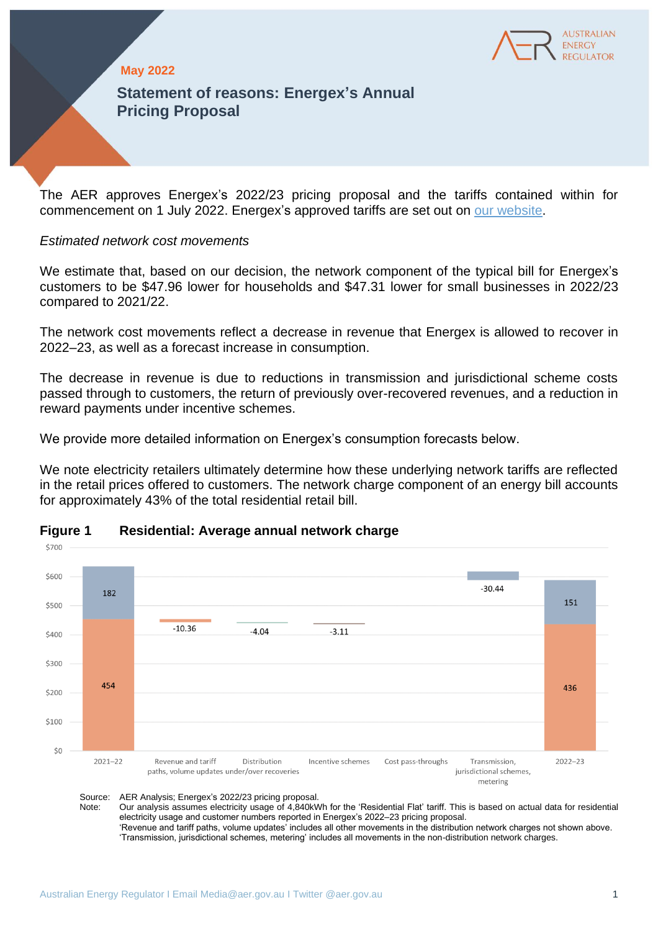

## **May 2022**

**Statement of reasons: Energex's Annual Pricing Proposal**

The AER approves Energex's 2022/23 pricing proposal and the tariffs contained within for commencement on 1 July 2022. Energex's approved tariffs are set out on [our website.](https://www.aer.gov.au/networks-pipelines/determinations-access-arrangements/pricing-proposals-tariffs)

### *Estimated network cost movements*

We estimate that, based on our decision, the network component of the typical bill for Energex's customers to be \$47.96 lower for households and \$47.31 lower for small businesses in 2022/23 compared to 2021/22.

The network cost movements reflect a decrease in revenue that Energex is allowed to recover in 2022–23, as well as a forecast increase in consumption.

The decrease in revenue is due to reductions in transmission and jurisdictional scheme costs passed through to customers, the return of previously over-recovered revenues, and a reduction in reward payments under incentive schemes.

We provide more detailed information on Energex's consumption forecasts below.

We note electricity retailers ultimately determine how these underlying network tariffs are reflected in the retail prices offered to customers. The network charge component of an energy bill accounts for approximately 43% of the total residential retail bill.



## **Figure 1 Residential: Average annual network charge**

Source: AER Analysis; Energex's 2022/23 pricing proposal.<br>Note: Our analysis assumes electricity usage of 4.840kV

Our analysis assumes electricity usage of 4,840kWh for the 'Residential Flat' tariff. This is based on actual data for residential electricity usage and customer numbers reported in Energex's 2022–23 pricing proposal. 'Revenue and tariff paths, volume updates' includes all other movements in the distribution network charges not shown above. 'Transmission, jurisdictional schemes, metering' includes all movements in the non-distribution network charges.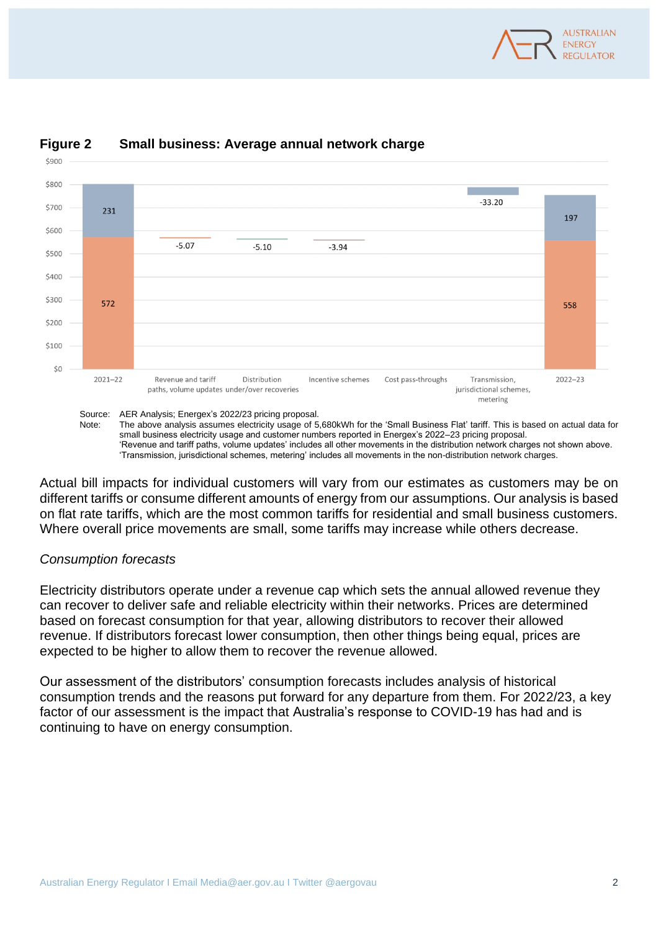



# **Figure 2 Small business: Average annual network charge**



Actual bill impacts for individual customers will vary from our estimates as customers may be on different tariffs or consume different amounts of energy from our assumptions. Our analysis is based on flat rate tariffs, which are the most common tariffs for residential and small business customers. Where overall price movements are small, some tariffs may increase while others decrease.

## *Consumption forecasts*

\$900

Electricity distributors operate under a revenue cap which sets the annual allowed revenue they can recover to deliver safe and reliable electricity within their networks. Prices are determined based on forecast consumption for that year, allowing distributors to recover their allowed revenue. If distributors forecast lower consumption, then other things being equal, prices are expected to be higher to allow them to recover the revenue allowed.

Our assessment of the distributors' consumption forecasts includes analysis of historical consumption trends and the reasons put forward for any departure from them. For 2022/23, a key factor of our assessment is the impact that Australia's response to COVID-19 has had and is continuing to have on energy consumption.